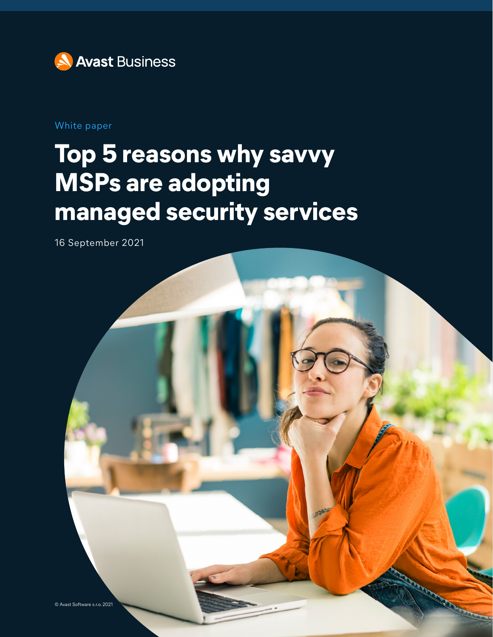

White paper

# **Top 5 reasons why savvy MSPs are adopting managed security services**

16 September 2021

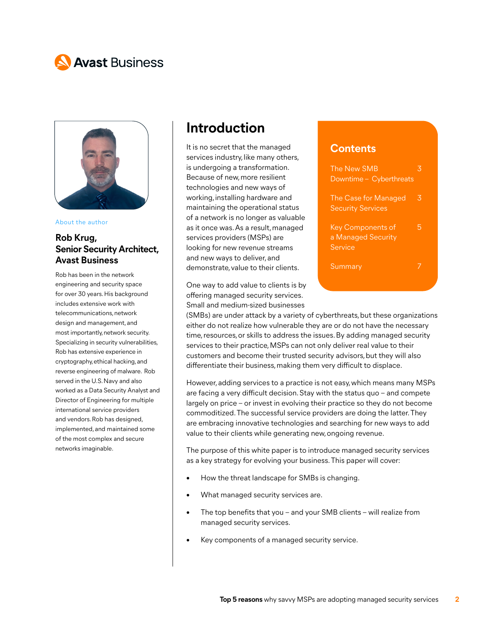# **N** Avast Business



About the author

#### **Rob Krug, Senior Security Architect, Avast Business**

Rob has been in the network engineering and security space for over 30 years. His background includes extensive work with telecommunications, network design and management, and most importantly, network security. Specializing in security vulnerabilities, Rob has extensive experience in cryptography, ethical hacking, and reverse engineering of malware. Rob served in the U.S. Navy and also worked as a Data Security Analyst and Director of Engineering for multiple international service providers and vendors. Rob has designed, implemented, and maintained some of the most complex and secure networks imaginable.

### **Introduction**

It is no secret that the managed services industry, like many others, is undergoing a transformation. Because of new, more resilient technologies and new ways of working, installing hardware and maintaining the operational status of a network is no longer as valuable as it once was. As a result, managed services providers (MSPs) are looking for new revenue streams and new ways to deliver, and demonstrate, value to their clients.

One way to add value to clients is by offering managed security services. Small and medium-sized businesses

The New SMB 3 Downtime – Cyberthreats The Case for Managed 3 Security Services Key Components of 5 a Managed Security

**Contents**

**Service** 

Summary 7

(SMBs) are under attack by a variety of cyberthreats, but these organizations either do not realize how vulnerable they are or do not have the necessary time, resources, or skills to address the issues. By adding managed security services to their practice, MSPs can not only deliver real value to their customers and become their trusted security advisors, but they will also differentiate their business, making them very difficult to displace.

However, adding services to a practice is not easy, which means many MSPs are facing a very difficult decision. Stay with the status quo – and compete largely on price – or invest in evolving their practice so they do not become commoditized. The successful service providers are doing the latter. They are embracing innovative technologies and searching for new ways to add value to their clients while generating new, ongoing revenue.

The purpose of this white paper is to introduce managed security services as a key strategy for evolving your business. This paper will cover:

- How the threat landscape for SMBs is changing.
- What managed security services are.
- The top benefits that you and your SMB clients will realize from managed security services.
- Key components of a managed security service.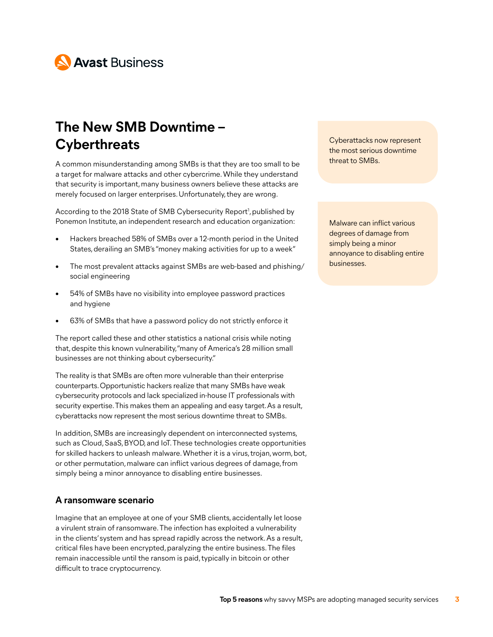

# **The New SMB Downtime – Cyberthreats**

A common misunderstanding among SMBs is that they are too small to be a target for malware attacks and other cybercrime. While they understand that security is important, many business owners believe these attacks are merely focused on larger enterprises. Unfortunately, they are wrong.

According to the 2018 State of SMB Cybersecurity Report<sup>1</sup>, published by Ponemon Institute, an independent research and education organization:

- Hackers breached 58% of SMBs over a 12-month period in the United States, derailing an SMB's "money making activities for up to a week"
- The most prevalent attacks against SMBs are web-based and phishing/ social engineering
- 54% of SMBs have no visibility into employee password practices and hygiene
- 63% of SMBs that have a password policy do not strictly enforce it

The report called these and other statistics a national crisis while noting that, despite this known vulnerability, "many of America's 28 million small businesses are not thinking about cybersecurity."

The reality is that SMBs are often more vulnerable than their enterprise counterparts. Opportunistic hackers realize that many SMBs have weak cybersecurity protocols and lack specialized in-house IT professionals with security expertise. This makes them an appealing and easy target. As a result, cyberattacks now represent the most serious downtime threat to SMBs.

In addition, SMBs are increasingly dependent on interconnected systems, such as Cloud, SaaS, BYOD, and IoT. These technologies create opportunities for skilled hackers to unleash malware. Whether it is a virus, trojan, worm, bot, or other permutation, malware can inflict various degrees of damage, from simply being a minor annoyance to disabling entire businesses.

#### **A ransomware scenario**

Imagine that an employee at one of your SMB clients, accidentally let loose a virulent strain of ransomware. The infection has exploited a vulnerability in the clients' system and has spread rapidly across the network. As a result, critical files have been encrypted, paralyzing the entire business. The files remain inaccessible until the ransom is paid, typically in bitcoin or other difficult to trace cryptocurrency.

Cyberattacks now represent the most serious downtime threat to SMBs.

Malware can inflict various degrees of damage from simply being a minor annoyance to disabling entire businesses.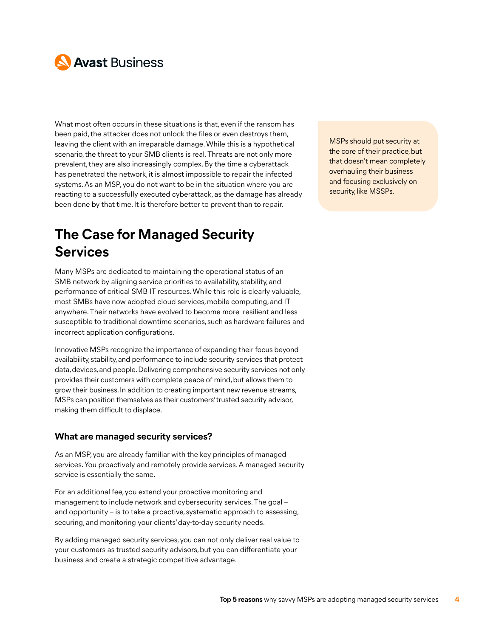

What most often occurs in these situations is that, even if the ransom has been paid, the attacker does not unlock the files or even destroys them, leaving the client with an irreparable damage. While this is a hypothetical scenario, the threat to your SMB clients is real. Threats are not only more prevalent, they are also increasingly complex. By the time a cyberattack has penetrated the network, it is almost impossible to repair the infected systems. As an MSP, you do not want to be in the situation where you are reacting to a successfully executed cyberattack, as the damage has already been done by that time. It is therefore better to prevent than to repair.

# **The Case for Managed Security Services**

Many MSPs are dedicated to maintaining the operational status of an SMB network by aligning service priorities to availability, stability, and performance of critical SMB IT resources. While this role is clearly valuable, most SMBs have now adopted cloud services, mobile computing, and IT anywhere. Their networks have evolved to become more resilient and less susceptible to traditional downtime scenarios, such as hardware failures and incorrect application configurations.

Innovative MSPs recognize the importance of expanding their focus beyond availability, stability, and performance to include security services that protect data, devices, and people. Delivering comprehensive security services not only provides their customers with complete peace of mind, but allows them to grow their business. In addition to creating important new revenue streams, MSPs can position themselves as their customers' trusted security advisor, making them difficult to displace.

#### **What are managed security services?**

As an MSP, you are already familiar with the key principles of managed services. You proactively and remotely provide services. A managed security service is essentially the same.

For an additional fee, you extend your proactive monitoring and management to include network and cybersecurity services. The goal – and opportunity – is to take a proactive, systematic approach to assessing, securing, and monitoring your clients' day-to-day security needs.

By adding managed security services, you can not only deliver real value to your customers as trusted security advisors, but you can differentiate your business and create a strategic competitive advantage.

MSPs should put security at the core of their practice, but that doesn't mean completely overhauling their business and focusing exclusively on security, like MSSPs.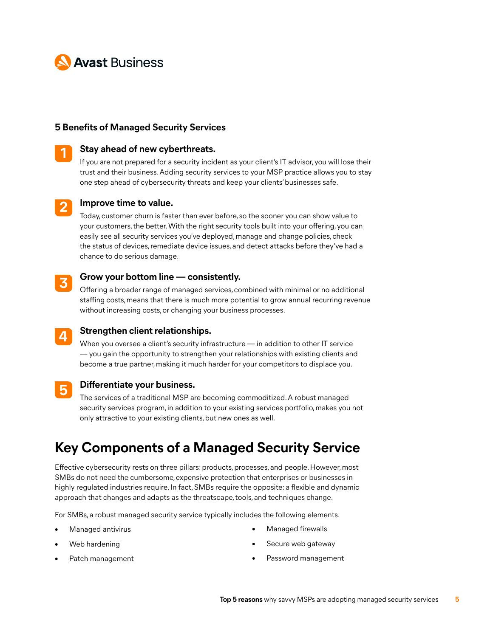

#### **5 Benefits of Managed Security Services**



#### **Stay ahead of new cyberthreats.**

If you are not prepared for a security incident as your client's IT advisor, you will lose their trust and their business. Adding security services to your MSP practice allows you to stay one step ahead of cybersecurity threats and keep your clients' businesses safe.



#### **Improve time to value.**

Today, customer churn is faster than ever before, so the sooner you can show value to your customers, the better. With the right security tools built into your offering, you can easily see all security services you've deployed, manage and change policies, check the status of devices, remediate device issues, and detect attacks before they've had a chance to do serious damage.

#### **Grow your bottom line — consistently. 3**

Offering a broader range of managed services, combined with minimal or no additional staffing costs, means that there is much more potential to grow annual recurring revenue without increasing costs, or changing your business processes.



#### **Strengthen client relationships.**

When you oversee a client's security infrastructure — in addition to other IT service — you gain the opportunity to strengthen your relationships with existing clients and become a true partner, making it much harder for your competitors to displace you.

**5**

#### **Differentiate your business.**

The services of a traditional MSP are becoming commoditized. A robust managed security services program, in addition to your existing services portfolio, makes you not only attractive to your existing clients, but new ones as well.

### **Key Components of a Managed Security Service**

Effective cybersecurity rests on three pillars: products, processes, and people. However, most SMBs do not need the cumbersome, expensive protection that enterprises or businesses in highly regulated industries require. In fact, SMBs require the opposite: a flexible and dynamic approach that changes and adapts as the threatscape, tools, and techniques change.

For SMBs, a robust managed security service typically includes the following elements.

• Managed antivirus

• Managed firewalls

- Web hardening
- Patch management
- Secure web gateway
- Password management